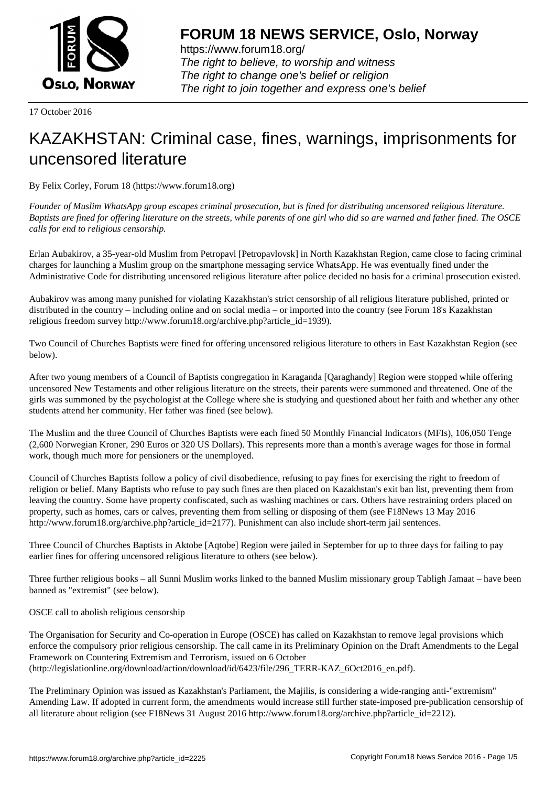

https://www.forum18.org/ The right to believe, to worship and witness The right to change one's belief or religion [The right to join together a](https://www.forum18.org/)nd express one's belief

17 October 2016

## [KAZAKHSTAN:](https://www.forum18.org) Criminal case, fines, warnings, imprisonments for uncensored literature

By Felix Corley, Forum 18 (https://www.forum18.org)

*Founder of Muslim WhatsApp group escapes criminal prosecution, but is fined for distributing uncensored religious literature. Baptists are fined for offering literature on the streets, while parents of one girl who did so are warned and father fined. The OSCE calls for end to religious censorship.*

Erlan Aubakirov, a 35-year-old Muslim from Petropavl [Petropavlovsk] in North Kazakhstan Region, came close to facing criminal charges for launching a Muslim group on the smartphone messaging service WhatsApp. He was eventually fined under the Administrative Code for distributing uncensored religious literature after police decided no basis for a criminal prosecution existed.

Aubakirov was among many punished for violating Kazakhstan's strict censorship of all religious literature published, printed or distributed in the country – including online and on social media – or imported into the country (see Forum 18's Kazakhstan religious freedom survey http://www.forum18.org/archive.php?article\_id=1939).

Two Council of Churches Baptists were fined for offering uncensored religious literature to others in East Kazakhstan Region (see below).

After two young members of a Council of Baptists congregation in Karaganda [Qaraghandy] Region were stopped while offering uncensored New Testaments and other religious literature on the streets, their parents were summoned and threatened. One of the girls was summoned by the psychologist at the College where she is studying and questioned about her faith and whether any other students attend her community. Her father was fined (see below).

The Muslim and the three Council of Churches Baptists were each fined 50 Monthly Financial Indicators (MFIs), 106,050 Tenge (2,600 Norwegian Kroner, 290 Euros or 320 US Dollars). This represents more than a month's average wages for those in formal work, though much more for pensioners or the unemployed.

Council of Churches Baptists follow a policy of civil disobedience, refusing to pay fines for exercising the right to freedom of religion or belief. Many Baptists who refuse to pay such fines are then placed on Kazakhstan's exit ban list, preventing them from leaving the country. Some have property confiscated, such as washing machines or cars. Others have restraining orders placed on property, such as homes, cars or calves, preventing them from selling or disposing of them (see F18News 13 May 2016 http://www.forum18.org/archive.php?article\_id=2177). Punishment can also include short-term jail sentences.

Three Council of Churches Baptists in Aktobe [Aqtobe] Region were jailed in September for up to three days for failing to pay earlier fines for offering uncensored religious literature to others (see below).

Three further religious books – all Sunni Muslim works linked to the banned Muslim missionary group Tabligh Jamaat – have been banned as "extremist" (see below).

OSCE call to abolish religious censorship

The Organisation for Security and Co-operation in Europe (OSCE) has called on Kazakhstan to remove legal provisions which enforce the compulsory prior religious censorship. The call came in its Preliminary Opinion on the Draft Amendments to the Legal Framework on Countering Extremism and Terrorism, issued on 6 October (http://legislationline.org/download/action/download/id/6423/file/296\_TERR-KAZ\_6Oct2016\_en.pdf).

The Preliminary Opinion was issued as Kazakhstan's Parliament, the Majilis, is considering a wide-ranging anti-"extremism" Amending Law. If adopted in current form, the amendments would increase still further state-imposed pre-publication censorship of all literature about religion (see F18News 31 August 2016 http://www.forum18.org/archive.php?article\_id=2212).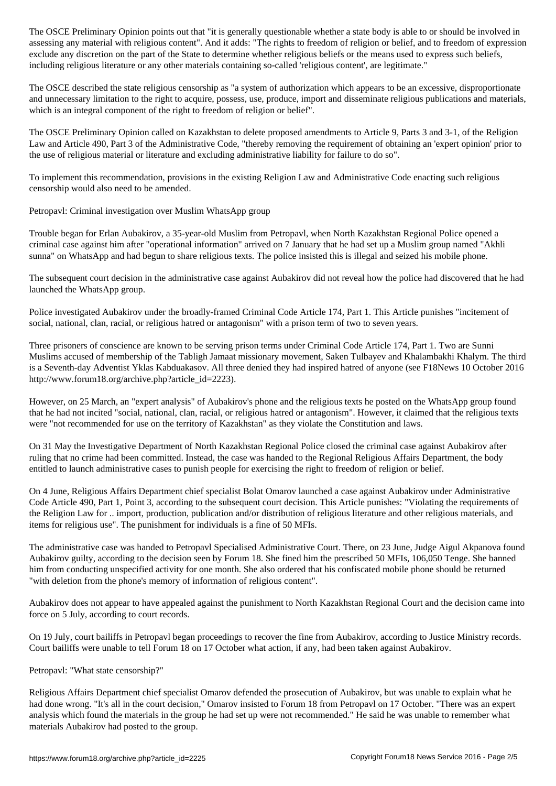assessing any material with religious content". And it adds: "The rights to freedom of religion or belief, and to freedom of expression exclude any discretion on the part of the State to determine whether religious beliefs or the means used to express such beliefs, including religious literature or any other materials containing so-called 'religious content', are legitimate."

The OSCE described the state religious censorship as "a system of authorization which appears to be an excessive, disproportionate and unnecessary limitation to the right to acquire, possess, use, produce, import and disseminate religious publications and materials, which is an integral component of the right to freedom of religion or belief".

The OSCE Preliminary Opinion called on Kazakhstan to delete proposed amendments to Article 9, Parts 3 and 3-1, of the Religion Law and Article 490, Part 3 of the Administrative Code, "thereby removing the requirement of obtaining an 'expert opinion' prior to the use of religious material or literature and excluding administrative liability for failure to do so".

To implement this recommendation, provisions in the existing Religion Law and Administrative Code enacting such religious censorship would also need to be amended.

Petropavl: Criminal investigation over Muslim WhatsApp group

Trouble began for Erlan Aubakirov, a 35-year-old Muslim from Petropavl, when North Kazakhstan Regional Police opened a criminal case against him after "operational information" arrived on 7 January that he had set up a Muslim group named "Akhli sunna" on WhatsApp and had begun to share religious texts. The police insisted this is illegal and seized his mobile phone.

The subsequent court decision in the administrative case against Aubakirov did not reveal how the police had discovered that he had launched the WhatsApp group.

Police investigated Aubakirov under the broadly-framed Criminal Code Article 174, Part 1. This Article punishes "incitement of social, national, clan, racial, or religious hatred or antagonism" with a prison term of two to seven years.

Three prisoners of conscience are known to be serving prison terms under Criminal Code Article 174, Part 1. Two are Sunni Muslims accused of membership of the Tabligh Jamaat missionary movement, Saken Tulbayev and Khalambakhi Khalym. The third is a Seventh-day Adventist Yklas Kabduakasov. All three denied they had inspired hatred of anyone (see F18News 10 October 2016 http://www.forum18.org/archive.php?article\_id=2223).

However, on 25 March, an "expert analysis" of Aubakirov's phone and the religious texts he posted on the WhatsApp group found that he had not incited "social, national, clan, racial, or religious hatred or antagonism". However, it claimed that the religious texts were "not recommended for use on the territory of Kazakhstan" as they violate the Constitution and laws.

On 31 May the Investigative Department of North Kazakhstan Regional Police closed the criminal case against Aubakirov after ruling that no crime had been committed. Instead, the case was handed to the Regional Religious Affairs Department, the body entitled to launch administrative cases to punish people for exercising the right to freedom of religion or belief.

On 4 June, Religious Affairs Department chief specialist Bolat Omarov launched a case against Aubakirov under Administrative Code Article 490, Part 1, Point 3, according to the subsequent court decision. This Article punishes: "Violating the requirements of the Religion Law for .. import, production, publication and/or distribution of religious literature and other religious materials, and items for religious use". The punishment for individuals is a fine of 50 MFIs.

The administrative case was handed to Petropavl Specialised Administrative Court. There, on 23 June, Judge Aigul Akpanova found Aubakirov guilty, according to the decision seen by Forum 18. She fined him the prescribed 50 MFIs, 106,050 Tenge. She banned him from conducting unspecified activity for one month. She also ordered that his confiscated mobile phone should be returned "with deletion from the phone's memory of information of religious content".

Aubakirov does not appear to have appealed against the punishment to North Kazakhstan Regional Court and the decision came into force on 5 July, according to court records.

On 19 July, court bailiffs in Petropavl began proceedings to recover the fine from Aubakirov, according to Justice Ministry records. Court bailiffs were unable to tell Forum 18 on 17 October what action, if any, had been taken against Aubakirov.

## Petropavl: "What state censorship?"

Religious Affairs Department chief specialist Omarov defended the prosecution of Aubakirov, but was unable to explain what he had done wrong. "It's all in the court decision," Omarov insisted to Forum 18 from Petropavl on 17 October. "There was an expert analysis which found the materials in the group he had set up were not recommended." He said he was unable to remember what materials Aubakirov had posted to the group.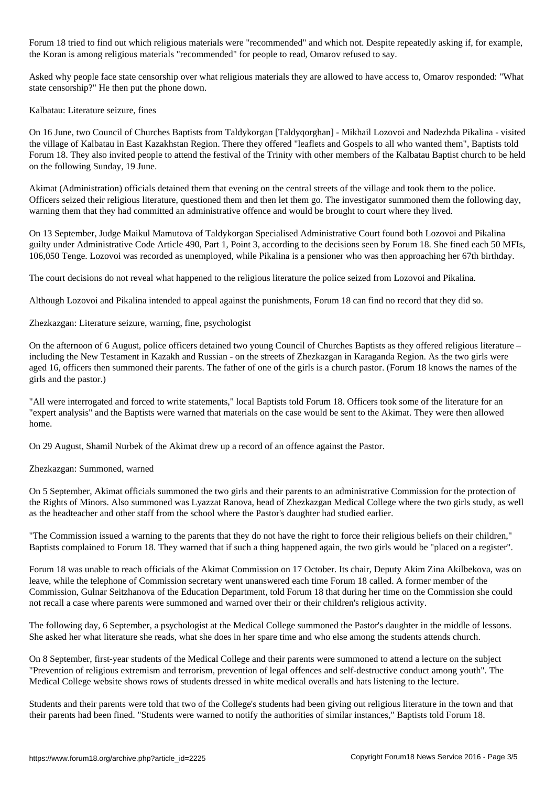Forum 18 tried to find out which religious materials were "recommended" and which not. Despite repeatedly asking if, for example, the Koran is among religious materials "recommended" for people to read, Omarov refused to say.

Asked why people face state censorship over what religious materials they are allowed to have access to, Omarov responded: "What state censorship?" He then put the phone down.

Kalbatau: Literature seizure, fines

On 16 June, two Council of Churches Baptists from Taldykorgan [Taldyqorghan] - Mikhail Lozovoi and Nadezhda Pikalina - visited the village of Kalbatau in East Kazakhstan Region. There they offered "leaflets and Gospels to all who wanted them", Baptists told Forum 18. They also invited people to attend the festival of the Trinity with other members of the Kalbatau Baptist church to be held on the following Sunday, 19 June.

Akimat (Administration) officials detained them that evening on the central streets of the village and took them to the police. Officers seized their religious literature, questioned them and then let them go. The investigator summoned them the following day, warning them that they had committed an administrative offence and would be brought to court where they lived.

On 13 September, Judge Maikul Mamutova of Taldykorgan Specialised Administrative Court found both Lozovoi and Pikalina guilty under Administrative Code Article 490, Part 1, Point 3, according to the decisions seen by Forum 18. She fined each 50 MFIs, 106,050 Tenge. Lozovoi was recorded as unemployed, while Pikalina is a pensioner who was then approaching her 67th birthday.

The court decisions do not reveal what happened to the religious literature the police seized from Lozovoi and Pikalina.

Although Lozovoi and Pikalina intended to appeal against the punishments, Forum 18 can find no record that they did so.

Zhezkazgan: Literature seizure, warning, fine, psychologist

On the afternoon of 6 August, police officers detained two young Council of Churches Baptists as they offered religious literature – including the New Testament in Kazakh and Russian - on the streets of Zhezkazgan in Karaganda Region. As the two girls were aged 16, officers then summoned their parents. The father of one of the girls is a church pastor. (Forum 18 knows the names of the girls and the pastor.)

"All were interrogated and forced to write statements," local Baptists told Forum 18. Officers took some of the literature for an "expert analysis" and the Baptists were warned that materials on the case would be sent to the Akimat. They were then allowed home.

On 29 August, Shamil Nurbek of the Akimat drew up a record of an offence against the Pastor.

Zhezkazgan: Summoned, warned

On 5 September, Akimat officials summoned the two girls and their parents to an administrative Commission for the protection of the Rights of Minors. Also summoned was Lyazzat Ranova, head of Zhezkazgan Medical College where the two girls study, as well as the headteacher and other staff from the school where the Pastor's daughter had studied earlier.

"The Commission issued a warning to the parents that they do not have the right to force their religious beliefs on their children," Baptists complained to Forum 18. They warned that if such a thing happened again, the two girls would be "placed on a register".

Forum 18 was unable to reach officials of the Akimat Commission on 17 October. Its chair, Deputy Akim Zina Akilbekova, was on leave, while the telephone of Commission secretary went unanswered each time Forum 18 called. A former member of the Commission, Gulnar Seitzhanova of the Education Department, told Forum 18 that during her time on the Commission she could not recall a case where parents were summoned and warned over their or their children's religious activity.

The following day, 6 September, a psychologist at the Medical College summoned the Pastor's daughter in the middle of lessons. She asked her what literature she reads, what she does in her spare time and who else among the students attends church.

On 8 September, first-year students of the Medical College and their parents were summoned to attend a lecture on the subject "Prevention of religious extremism and terrorism, prevention of legal offences and self-destructive conduct among youth". The Medical College website shows rows of students dressed in white medical overalls and hats listening to the lecture.

Students and their parents were told that two of the College's students had been giving out religious literature in the town and that their parents had been fined. "Students were warned to notify the authorities of similar instances," Baptists told Forum 18.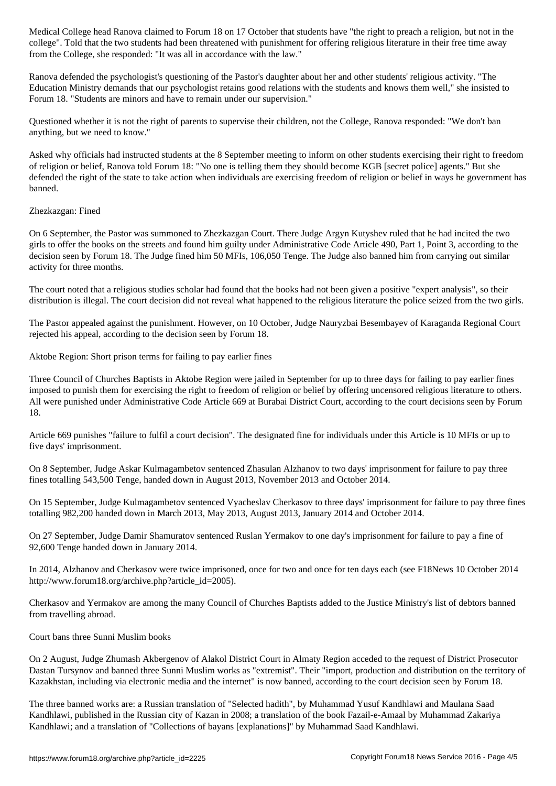college". Told that the two students had been threatened with punishment for offering religious literature in their free time away from the College, she responded: "It was all in accordance with the law."

Ranova defended the psychologist's questioning of the Pastor's daughter about her and other students' religious activity. "The Education Ministry demands that our psychologist retains good relations with the students and knows them well," she insisted to Forum 18. "Students are minors and have to remain under our supervision."

Questioned whether it is not the right of parents to supervise their children, not the College, Ranova responded: "We don't ban anything, but we need to know."

Asked why officials had instructed students at the 8 September meeting to inform on other students exercising their right to freedom of religion or belief, Ranova told Forum 18: "No one is telling them they should become KGB [secret police] agents." But she defended the right of the state to take action when individuals are exercising freedom of religion or belief in ways he government has banned.

## Zhezkazgan: Fined

On 6 September, the Pastor was summoned to Zhezkazgan Court. There Judge Argyn Kutyshev ruled that he had incited the two girls to offer the books on the streets and found him guilty under Administrative Code Article 490, Part 1, Point 3, according to the decision seen by Forum 18. The Judge fined him 50 MFIs, 106,050 Tenge. The Judge also banned him from carrying out similar activity for three months.

The court noted that a religious studies scholar had found that the books had not been given a positive "expert analysis", so their distribution is illegal. The court decision did not reveal what happened to the religious literature the police seized from the two girls.

The Pastor appealed against the punishment. However, on 10 October, Judge Nauryzbai Besembayev of Karaganda Regional Court rejected his appeal, according to the decision seen by Forum 18.

Aktobe Region: Short prison terms for failing to pay earlier fines

Three Council of Churches Baptists in Aktobe Region were jailed in September for up to three days for failing to pay earlier fines imposed to punish them for exercising the right to freedom of religion or belief by offering uncensored religious literature to others. All were punished under Administrative Code Article 669 at Burabai District Court, according to the court decisions seen by Forum 18.

Article 669 punishes "failure to fulfil a court decision". The designated fine for individuals under this Article is 10 MFIs or up to five days' imprisonment.

On 8 September, Judge Askar Kulmagambetov sentenced Zhasulan Alzhanov to two days' imprisonment for failure to pay three fines totalling 543,500 Tenge, handed down in August 2013, November 2013 and October 2014.

On 15 September, Judge Kulmagambetov sentenced Vyacheslav Cherkasov to three days' imprisonment for failure to pay three fines totalling 982,200 handed down in March 2013, May 2013, August 2013, January 2014 and October 2014.

On 27 September, Judge Damir Shamuratov sentenced Ruslan Yermakov to one day's imprisonment for failure to pay a fine of 92,600 Tenge handed down in January 2014.

In 2014, Alzhanov and Cherkasov were twice imprisoned, once for two and once for ten days each (see F18News 10 October 2014 http://www.forum18.org/archive.php?article\_id=2005).

Cherkasov and Yermakov are among the many Council of Churches Baptists added to the Justice Ministry's list of debtors banned from travelling abroad.

Court bans three Sunni Muslim books

On 2 August, Judge Zhumash Akbergenov of Alakol District Court in Almaty Region acceded to the request of District Prosecutor Dastan Tursynov and banned three Sunni Muslim works as "extremist". Their "import, production and distribution on the territory of Kazakhstan, including via electronic media and the internet" is now banned, according to the court decision seen by Forum 18.

The three banned works are: a Russian translation of "Selected hadith", by Muhammad Yusuf Kandhlawi and Maulana Saad Kandhlawi, published in the Russian city of Kazan in 2008; a translation of the book Fazail-e-Amaal by Muhammad Zakariya Kandhlawi; and a translation of "Collections of bayans [explanations]" by Muhammad Saad Kandhlawi.